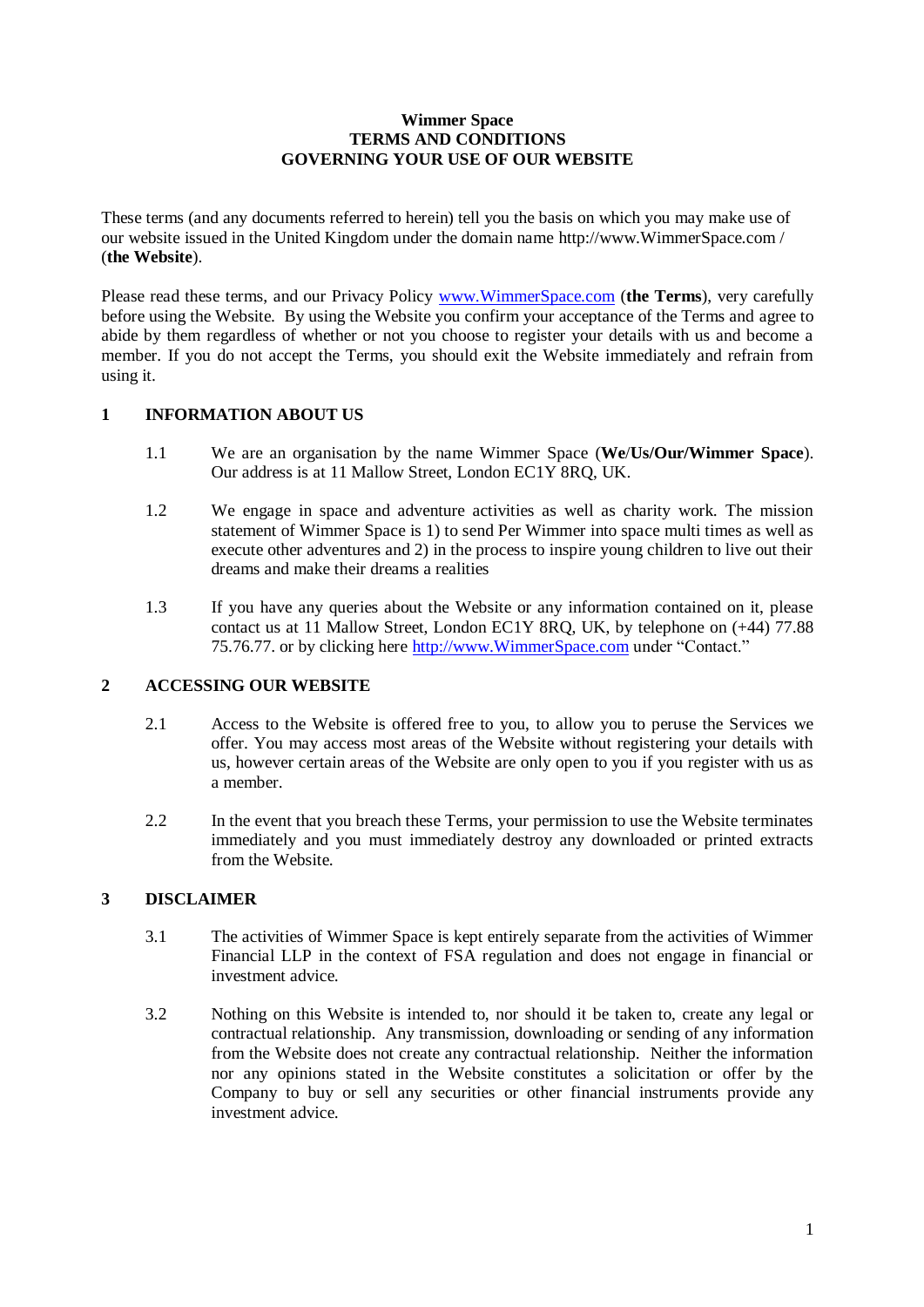### **Wimmer Space TERMS AND CONDITIONS GOVERNING YOUR USE OF OUR WEBSITE**

These terms (and any documents referred to herein) tell you the basis on which you may make use of our website issued in the United Kingdom under the domain name http://www.WimmerSpace.com / (**the Website**).

Please read these terms, and our Privacy Policy [www.WimmerSpace.com](http://www.wimmerspace.com/) (**the Terms**), very carefully before using the Website. By using the Website you confirm your acceptance of the Terms and agree to abide by them regardless of whether or not you choose to register your details with us and become a member. If you do not accept the Terms, you should exit the Website immediately and refrain from using it.

## **1 INFORMATION ABOUT US**

- 1.1 We are an organisation by the name Wimmer Space (**We**/**Us/Our/Wimmer Space**). Our address is at 11 Mallow Street, London EC1Y 8RQ, UK.
- 1.2 We engage in space and adventure activities as well as charity work. The mission statement of Wimmer Space is 1) to send Per Wimmer into space multi times as well as execute other adventures and 2) in the process to inspire young children to live out their dreams and make their dreams a realities
- 1.3 If you have any queries about the Website or any information contained on it, please contact us at 11 Mallow Street, London EC1Y 8RQ, UK, by telephone on (+44) 77.88 75.76.77. or by clicking here [http://www.WimmerSpace.com](http://www.wimmerspace.com/) under "Contact."

## **2 ACCESSING OUR WEBSITE**

- 2.1 Access to the Website is offered free to you, to allow you to peruse the Services we offer. You may access most areas of the Website without registering your details with us, however certain areas of the Website are only open to you if you register with us as a member.
- 2.2 In the event that you breach these Terms, your permission to use the Website terminates immediately and you must immediately destroy any downloaded or printed extracts from the Website.

# **3 DISCLAIMER**

- 3.1 The activities of Wimmer Space is kept entirely separate from the activities of Wimmer Financial LLP in the context of FSA regulation and does not engage in financial or investment advice.
- 3.2 Nothing on this Website is intended to, nor should it be taken to, create any legal or contractual relationship. Any transmission, downloading or sending of any information from the Website does not create any contractual relationship. Neither the information nor any opinions stated in the Website constitutes a solicitation or offer by the Company to buy or sell any securities or other financial instruments provide any investment advice.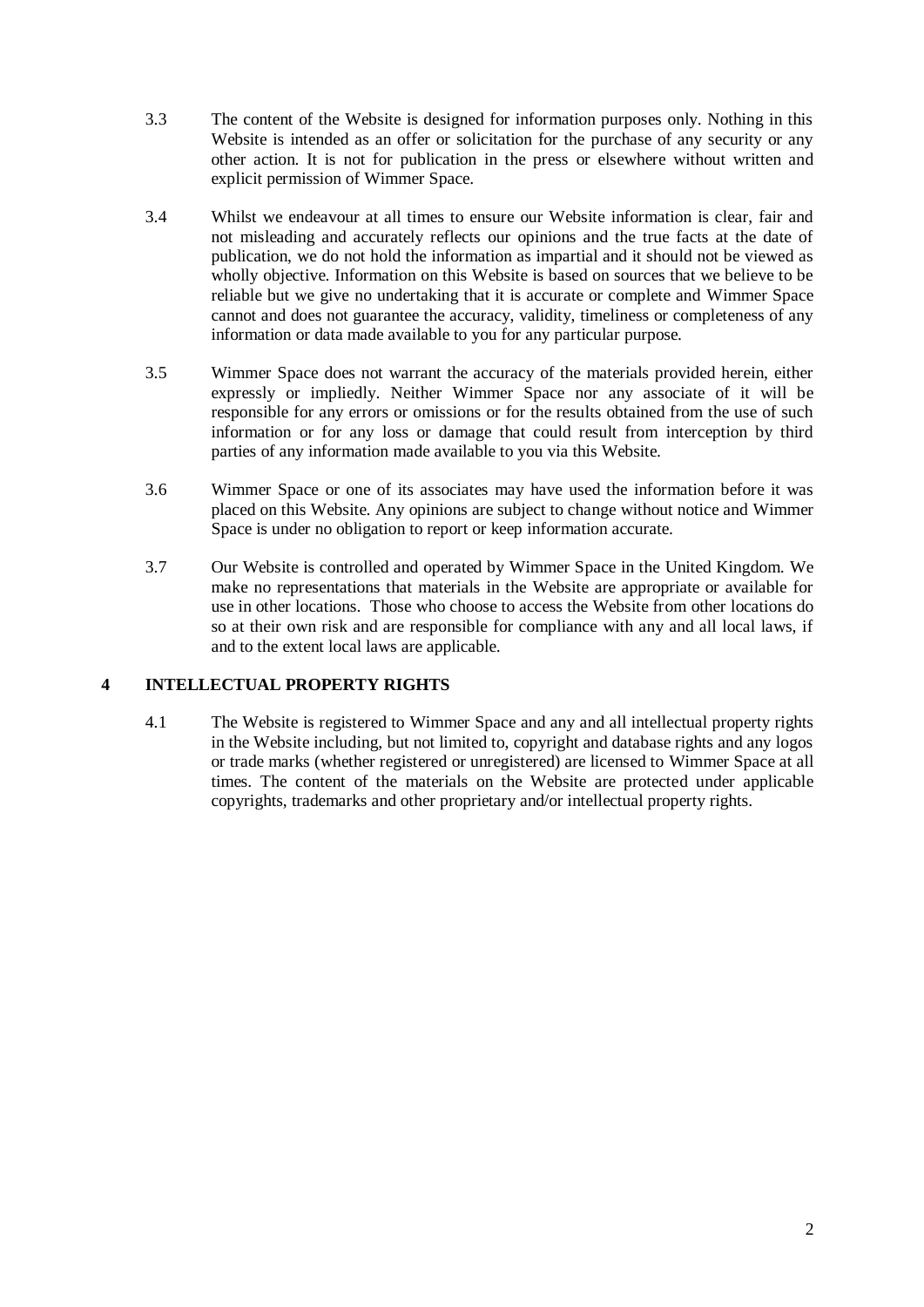- 3.3 The content of the Website is designed for information purposes only. Nothing in this Website is intended as an offer or solicitation for the purchase of any security or any other action. It is not for publication in the press or elsewhere without written and explicit permission of Wimmer Space.
- 3.4 Whilst we endeavour at all times to ensure our Website information is clear, fair and not misleading and accurately reflects our opinions and the true facts at the date of publication, we do not hold the information as impartial and it should not be viewed as wholly objective. Information on this Website is based on sources that we believe to be reliable but we give no undertaking that it is accurate or complete and Wimmer Space cannot and does not guarantee the accuracy, validity, timeliness or completeness of any information or data made available to you for any particular purpose.
- 3.5 Wimmer Space does not warrant the accuracy of the materials provided herein, either expressly or impliedly. Neither Wimmer Space nor any associate of it will be responsible for any errors or omissions or for the results obtained from the use of such information or for any loss or damage that could result from interception by third parties of any information made available to you via this Website.
- 3.6 Wimmer Space or one of its associates may have used the information before it was placed on this Website. Any opinions are subject to change without notice and Wimmer Space is under no obligation to report or keep information accurate.
- 3.7 Our Website is controlled and operated by Wimmer Space in the United Kingdom. We make no representations that materials in the Website are appropriate or available for use in other locations. Those who choose to access the Website from other locations do so at their own risk and are responsible for compliance with any and all local laws, if and to the extent local laws are applicable.

## **4 INTELLECTUAL PROPERTY RIGHTS**

4.1 The Website is registered to Wimmer Space and any and all intellectual property rights in the Website including, but not limited to, copyright and database rights and any logos or trade marks (whether registered or unregistered) are licensed to Wimmer Space at all times. The content of the materials on the Website are protected under applicable copyrights, trademarks and other proprietary and/or intellectual property rights.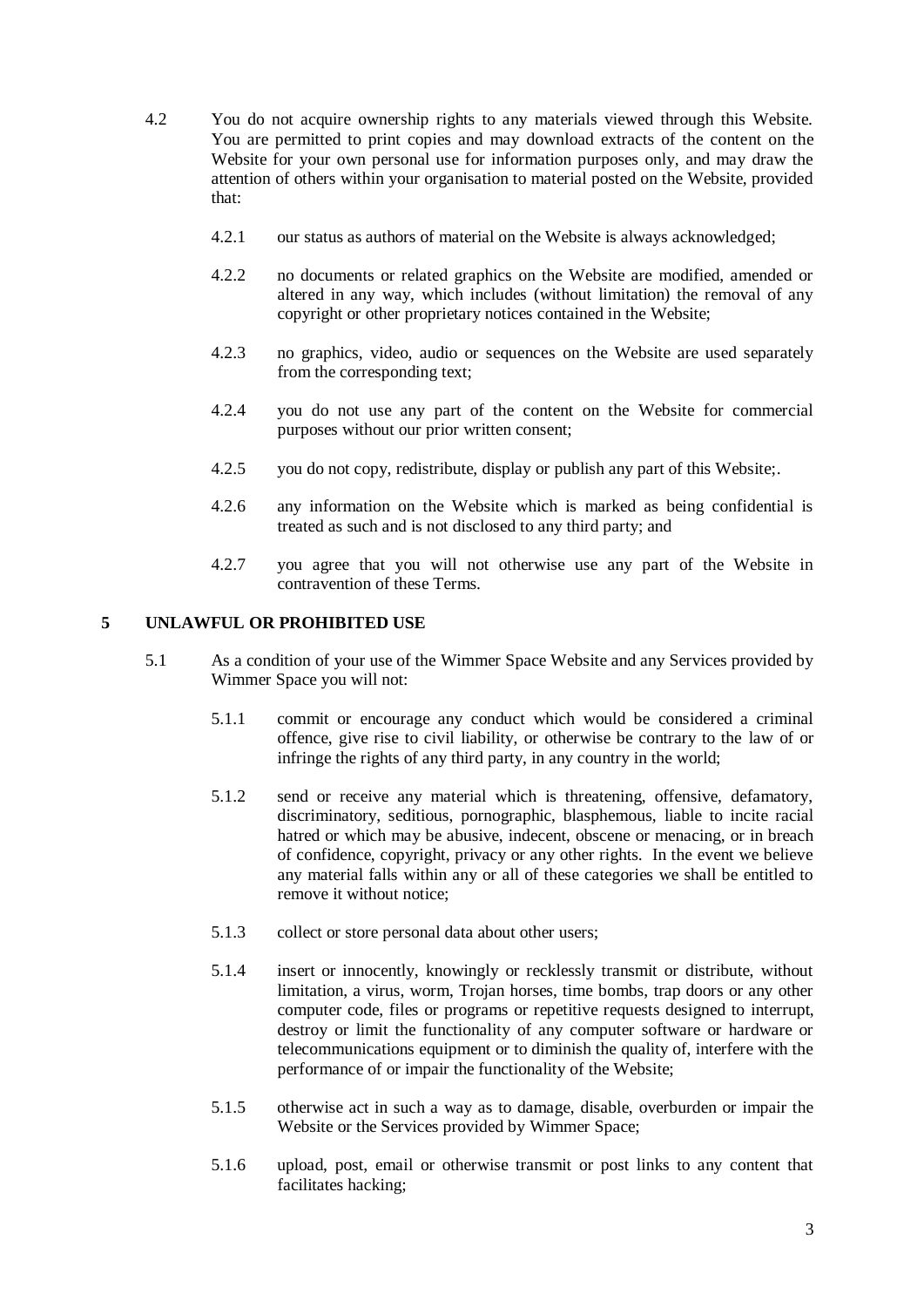- 4.2 You do not acquire ownership rights to any materials viewed through this Website. You are permitted to print copies and may download extracts of the content on the Website for your own personal use for information purposes only, and may draw the attention of others within your organisation to material posted on the Website, provided that:
	- 4.2.1 our status as authors of material on the Website is always acknowledged;
	- 4.2.2 no documents or related graphics on the Website are modified, amended or altered in any way, which includes (without limitation) the removal of any copyright or other proprietary notices contained in the Website;
	- 4.2.3 no graphics, video, audio or sequences on the Website are used separately from the corresponding text;
	- 4.2.4 you do not use any part of the content on the Website for commercial purposes without our prior written consent;
	- 4.2.5 you do not copy, redistribute, display or publish any part of this Website;.
	- 4.2.6 any information on the Website which is marked as being confidential is treated as such and is not disclosed to any third party; and
	- 4.2.7 you agree that you will not otherwise use any part of the Website in contravention of these Terms.

## **5 UNLAWFUL OR PROHIBITED USE**

- 5.1 As a condition of your use of the Wimmer Space Website and any Services provided by Wimmer Space you will not:
	- 5.1.1 commit or encourage any conduct which would be considered a criminal offence, give rise to civil liability, or otherwise be contrary to the law of or infringe the rights of any third party, in any country in the world;
	- 5.1.2 send or receive any material which is threatening, offensive, defamatory, discriminatory, seditious, pornographic, blasphemous, liable to incite racial hatred or which may be abusive, indecent, obscene or menacing, or in breach of confidence, copyright, privacy or any other rights. In the event we believe any material falls within any or all of these categories we shall be entitled to remove it without notice;
	- 5.1.3 collect or store personal data about other users;
	- 5.1.4 insert or innocently, knowingly or recklessly transmit or distribute, without limitation, a virus, worm, Trojan horses, time bombs, trap doors or any other computer code, files or programs or repetitive requests designed to interrupt, destroy or limit the functionality of any computer software or hardware or telecommunications equipment or to diminish the quality of, interfere with the performance of or impair the functionality of the Website;
	- 5.1.5 otherwise act in such a way as to damage, disable, overburden or impair the Website or the Services provided by Wimmer Space;
	- 5.1.6 upload, post, email or otherwise transmit or post links to any content that facilitates hacking;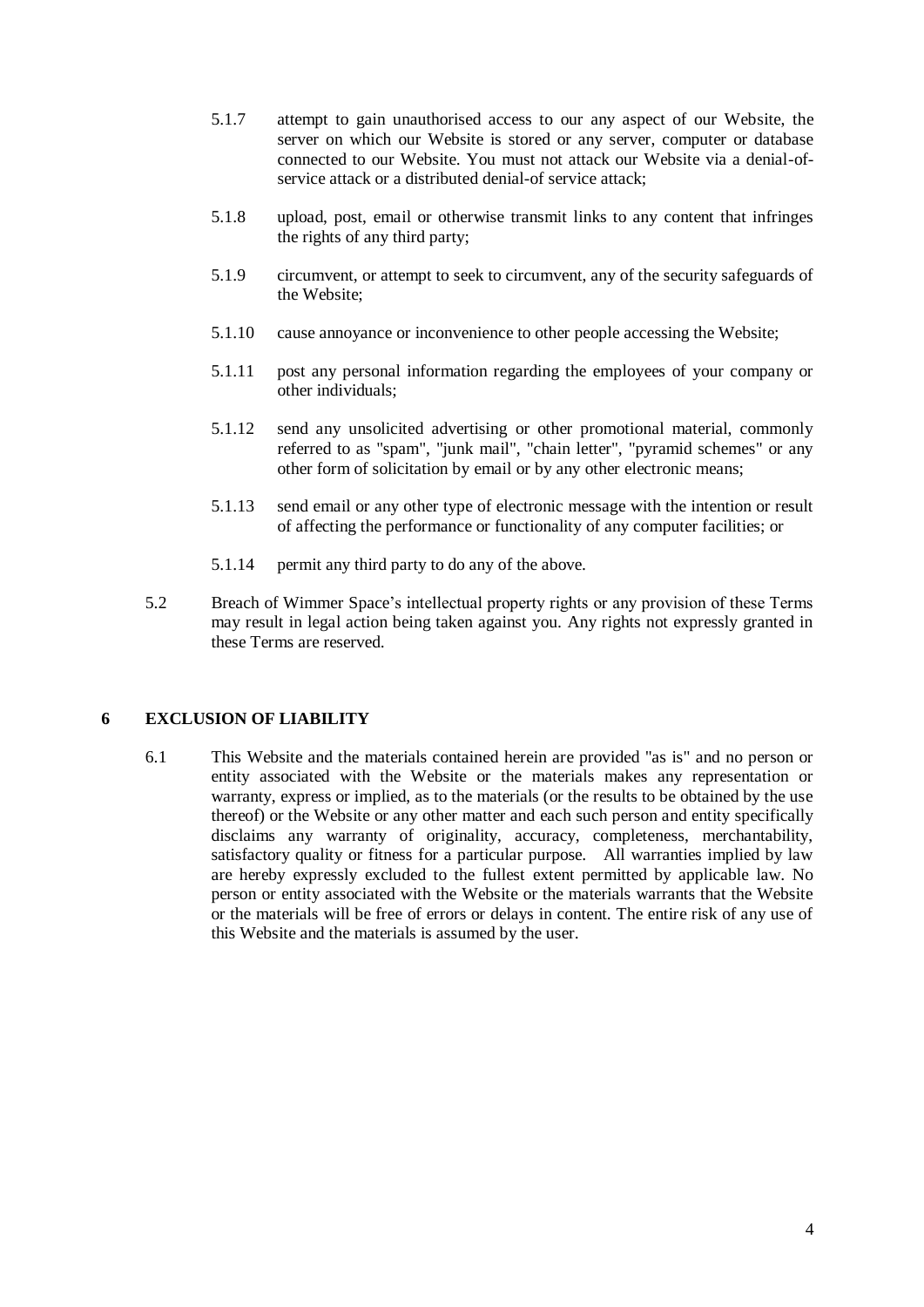- 5.1.7 attempt to gain unauthorised access to our any aspect of our Website, the server on which our Website is stored or any server, computer or database connected to our Website. You must not attack our Website via a denial-ofservice attack or a distributed denial-of service attack;
- 5.1.8 upload, post, email or otherwise transmit links to any content that infringes the rights of any third party;
- 5.1.9 circumvent, or attempt to seek to circumvent, any of the security safeguards of the Website;
- 5.1.10 cause annoyance or inconvenience to other people accessing the Website;
- 5.1.11 post any personal information regarding the employees of your company or other individuals;
- 5.1.12 send any unsolicited advertising or other promotional material, commonly referred to as "spam", "junk mail", "chain letter", "pyramid schemes" or any other form of solicitation by email or by any other electronic means;
- 5.1.13 send email or any other type of electronic message with the intention or result of affecting the performance or functionality of any computer facilities; or
- 5.1.14 permit any third party to do any of the above.
- 5.2 Breach of Wimmer Space's intellectual property rights or any provision of these Terms may result in legal action being taken against you. Any rights not expressly granted in these Terms are reserved.

#### **6 EXCLUSION OF LIABILITY**

6.1 This Website and the materials contained herein are provided "as is" and no person or entity associated with the Website or the materials makes any representation or warranty, express or implied, as to the materials (or the results to be obtained by the use thereof) or the Website or any other matter and each such person and entity specifically disclaims any warranty of originality, accuracy, completeness, merchantability, satisfactory quality or fitness for a particular purpose. All warranties implied by law are hereby expressly excluded to the fullest extent permitted by applicable law. No person or entity associated with the Website or the materials warrants that the Website or the materials will be free of errors or delays in content. The entire risk of any use of this Website and the materials is assumed by the user.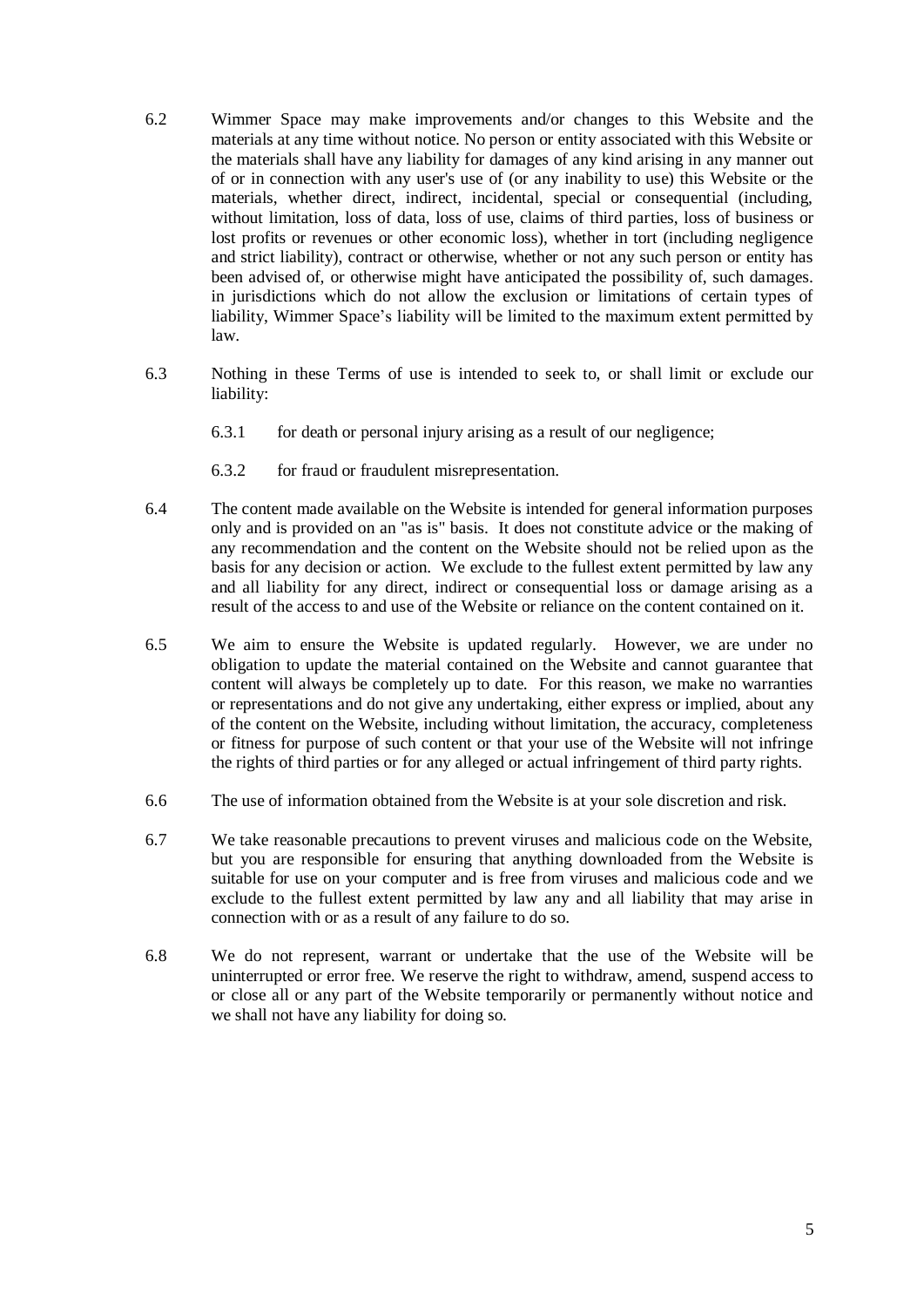- 6.2 Wimmer Space may make improvements and/or changes to this Website and the materials at any time without notice. No person or entity associated with this Website or the materials shall have any liability for damages of any kind arising in any manner out of or in connection with any user's use of (or any inability to use) this Website or the materials, whether direct, indirect, incidental, special or consequential (including, without limitation, loss of data, loss of use, claims of third parties, loss of business or lost profits or revenues or other economic loss), whether in tort (including negligence and strict liability), contract or otherwise, whether or not any such person or entity has been advised of, or otherwise might have anticipated the possibility of, such damages. in jurisdictions which do not allow the exclusion or limitations of certain types of liability, Wimmer Space's liability will be limited to the maximum extent permitted by law.
- 6.3 Nothing in these Terms of use is intended to seek to, or shall limit or exclude our liability:
	- 6.3.1 for death or personal injury arising as a result of our negligence;
	- 6.3.2 for fraud or fraudulent misrepresentation.
- 6.4 The content made available on the Website is intended for general information purposes only and is provided on an "as is" basis. It does not constitute advice or the making of any recommendation and the content on the Website should not be relied upon as the basis for any decision or action. We exclude to the fullest extent permitted by law any and all liability for any direct, indirect or consequential loss or damage arising as a result of the access to and use of the Website or reliance on the content contained on it.
- 6.5 We aim to ensure the Website is updated regularly. However, we are under no obligation to update the material contained on the Website and cannot guarantee that content will always be completely up to date. For this reason, we make no warranties or representations and do not give any undertaking, either express or implied, about any of the content on the Website, including without limitation, the accuracy, completeness or fitness for purpose of such content or that your use of the Website will not infringe the rights of third parties or for any alleged or actual infringement of third party rights.
- 6.6 The use of information obtained from the Website is at your sole discretion and risk.
- 6.7 We take reasonable precautions to prevent viruses and malicious code on the Website, but you are responsible for ensuring that anything downloaded from the Website is suitable for use on your computer and is free from viruses and malicious code and we exclude to the fullest extent permitted by law any and all liability that may arise in connection with or as a result of any failure to do so.
- 6.8 We do not represent, warrant or undertake that the use of the Website will be uninterrupted or error free. We reserve the right to withdraw, amend, suspend access to or close all or any part of the Website temporarily or permanently without notice and we shall not have any liability for doing so.